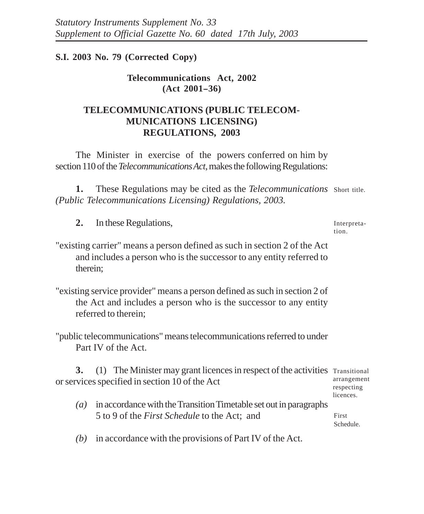# **S.I. 2003 No. 79 (Corrected Copy)**

# **Telecommunications Act, 2002 (Act 2001--36)**

# **TELECOMMUNICATIONS (PUBLIC TELECOM-MUNICATIONS LICENSING) REGULATIONS, 2003**

The Minister in exercise of the powers conferred on him by section 110 of the *Telecommunications Act*, makes the following Regulations:

1. These Regulations may be cited as the *Telecommunications* Short title. *(Public Telecommunications Licensing) Regulations, 2003.*

**2.** In these Regulations,

Interpretation.

"existing carrier" means a person defined as such in section 2 of the Act and includes a person who is the successor to any entity referred to therein;

"existing service provider" means a person defined as such in section 2 of the Act and includes a person who is the successor to any entity referred to therein;

"public telecommunications" means telecommunications referred to under Part IV of the Act.

**3.** (1) The Minister may grant licences in respect of the activities Transitional or services specified in section 10 of the Act arrangement respecting

*(a)* in accordance with the Transition Timetable set out in paragraphs 5 to 9 of the *First Schedule* to the Act; and

First Schedule.

licences.

*(b)* in accordance with the provisions of Part IV of the Act.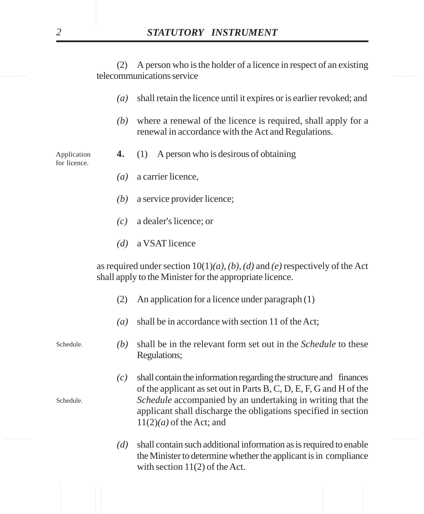telecommunications service (2) A person who is the holder of a licence in respect of an existing

- *(a)* shall retain the licence until it expires or is earlier revoked; and
- *(b)* where a renewal of the licence is required, shall apply for a renewal in accordance with the Act and Regulations.
- **4.** (1) A person who is desirous of obtaining

for licence.

Application

- *(a)* a carrier licence,
- *(b)* a service provider licence;
- *(c)* a dealer's licence; or
- *(d)* a VSAT licence

as required under section 10(1)*(a)*, *(b), (d)* and *(e)* respectively of the Act shall apply to the Minister for the appropriate licence.

- (2) An application for a licence under paragraph (1)
- *(a)* shall be in accordance with section 11 of the Act;

*(b)* shall be in the relevant form set out in the *Schedule* to these Regulations;

- **STATUTORY INSTRUMENT**<br>
(2) A person who is the holder of a licence in respect of an existin<br>
telecommunications service<br>
(a) shall retain the licence until it expires or is earlier revoked; an<br>
(b) where a renewal of th *(c)* shall contain the information regarding the structure and finances of the applicant as set out in Parts B, C, D, E, F, G and H of the *Schedule* accompanied by an undertaking in writing that the applicant shall discharge the obligations specified in section 11(2)*(a)* of the Act; and
	- *(d)* shall contain such additional information as is required to enable the Minister to determine whether the applicant is in compliance with section 11(2) of the Act.

Schedule.

Schedule.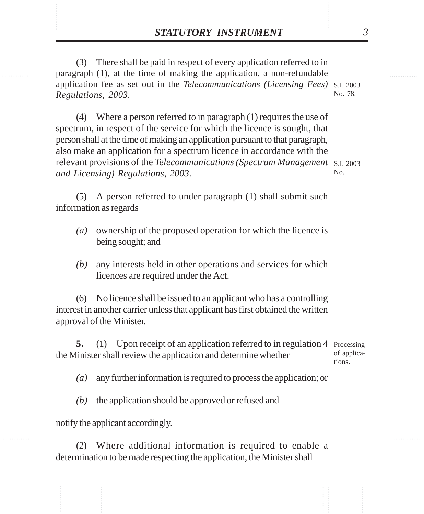**STATUTORY INSTRUMENT** 3<br>(3) There shall be paid in respect of every application referred to in paragraph (1), at the time of making the application, a non-refundable (3) There shall be paid in respect of every application referred to in paragraph (1), at the time of making the application, a non-refundable application fee as set out in the *Telecommunications (Licensing Fees)* S.I. 2003 *Regulations, 2003.* No. 78.

> (4) Where a person referred to in paragraph (1) requires the use of spectrum, in respect of the service for which the licence is sought, that person shall at the time of making an application pursuant to that paragraph, also make an application for a spectrum licence in accordance with the relevant provisions of the *Telecommunications (Spectrum Management* S.I. 2003 *and Licensing) Regulations, 2003*. No.

(5) A person referred to under paragraph (1) shall submit such information as regards

- *(a)* ownership of the proposed operation for which the licence is being sought; and
- *(b)* any interests held in other operations and services for which licences are required under the Act.

(6) No licence shall be issued to an applicant who has a controlling interest in another carrier unless that applicant has first obtained the written approval of the Minister.

**5.** (1) Upon receipt of an application referred to in regulation 4 Processing the Minister shall review the application and determine whether of applications.

*(a)* any further information is required to process the application; or

*(b)* the application should be approved or refused and

notify the applicant accordingly.

(2) Where additional information is required to enable a determination to be made respecting the application, the Minister shall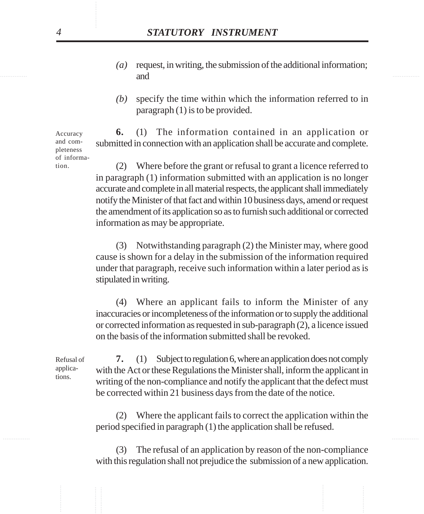- and  $\blacksquare$ *(a)* request, in writing, the submission of the additional information; and
	- *(b)* specify the time within which the information referred to in paragraph (1) is to be provided.

**6.** (1) The information contained in an application or submitted in connection with an application shall be accurate and complete. Accuracy and completeness of informa-

**STATUTORY INSTRUMENT**<br>
(a) request in writing, the submission of the additional information<br>
and<br>
(b) specify the time within which the information referred to i<br>
paragraph (1) is to be provided.<br>
second to consider the (2) Where before the grant or refusal to grant a licence referred to in paragraph (1) information submitted with an application is no longer accurate and complete in all material respects, the applicant shall immediately notify the Minister of that fact andwithin 10 business days, amend or request the amendment of its application so as to furnish such additional or corrected information as may be appropriate.

(3) Notwithstanding paragraph (2) the Minister may, where good cause is shown for a delay in the submission of the information required under that paragraph, receive such information within a later period as is stipulated in writing.

(4) Where an applicant fails to inform the Minister of any inaccuracies or incompleteness of the information or to supply the additional or corrected information as requested in sub-paragraph (2), a licence issued on the basis of the information submitted shall be revoked.

**7.** (1) Subject to regulation 6, where an application does not comply with the Act or these Regulations the Minister shall, inform the applicant in writing of the non-compliance and notify the applicant that the defect must be corrected within 21 business days from the date of the notice. Refusal of

> (2) Where the applicant fails to correct the application within the period specified in paragraph (1) the application shall be refused.

> (3) The refusal of an application by reason of the non-compliance with this regulation shall not prejudice the submission of a new application.

tion.

applications.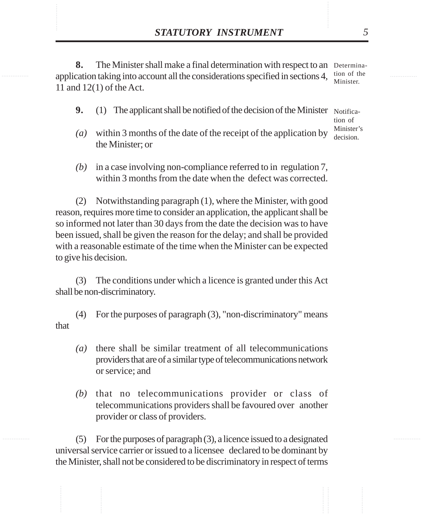**STATUTORY INSTRUMENT** 5<br> **8.** The Minister shall make a final determination with respect to an Determina-<br>
application taking into account all the considerations specified in sections 4 tion of the **8.** The Minister shall make a final determination with respect to an Determinaapplication taking into account all the considerations specified in sections 4, 11 and 12(1) of the Act. tion of the Minister.

**9.** (1) The applicant shall be notified of the decision of the Minister Notifica-

tion of Minister's decision.

- *(a)* within 3 months of the date of the receipt of the application by the Minister; or
- *(b)* in a case involving non-compliance referred to in regulation 7, within 3 months from the date when the defect was corrected.

(2) Notwithstanding paragraph (1), where the Minister, with good reason, requires more time to consider an application, the applicant shall be so informed not later than 30 days from the date the decision was to have been issued, shall be given the reason for the delay; and shall be provided with a reasonable estimate of the time when the Minister can be expected to give his decision.

(3) The conditions under which a licence is granted under this Act shall be non-discriminatory.

(4) For the purposes of paragraph (3), "non-discriminatory" means that

- *(a)* there shall be similar treatment of all telecommunications providers that are of a similar type of telecommunications network or service; and
- *(b)* that no telecommunications provider or class of telecommunications providers shall be favoured over another provider or class of providers.

(5) For the purposes of paragraph (3), a licence issued to a designated universal service carrier or issued to a licensee declared to be dominant by the Minister, shall not be considered to be discriminatory in respect of terms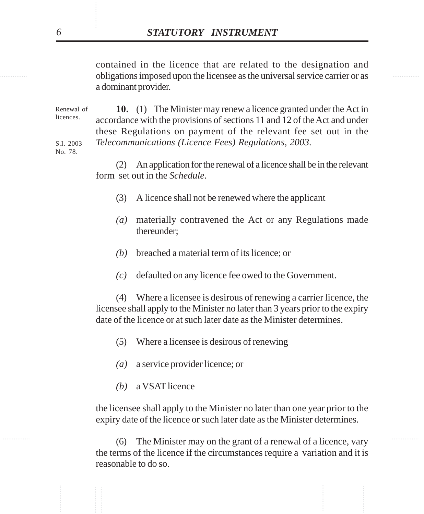obligations imposed upon the licensee as the universal service carrier or as contained in the licence that are related to the designation and a dominant provider.

**STATUTORY INSTRUMENT**<br>
contained in the licence that are related to the designation and<br>
obligations imposed upon the licence as the universal service carrier or a<br>
adominant provider.<br>  $10$ , (1) The Minister may renew a **10.** (1) The Minister may renew a licence granted under the Act in accordance with the provisions of sections 11 and 12 of the Act and under these Regulations on payment of the relevant fee set out in the *Telecommunications (Licence Fees) Regulations, 2003*. Renewal of licences. S.I. 2003

No. 78.

(2) An application for the renewal of a licence shall be in the relevant form set out in the *Schedule*.

- (3) A licence shall not be renewed where the applicant
- *(a)* materially contravened the Act or any Regulations made thereunder;
- *(b)* breached a material term of its licence; or
- *(c)* defaulted on any licence fee owed to the Government.

(4) Where a licensee is desirous of renewing a carrier licence, the licensee shall apply to the Minister no later than 3 years prior to the expiry date of the licence or at such later date as the Minister determines.

- (5) Where a licensee is desirous of renewing
- *(a)* a service provider licence; or
- *(b)* a VSAT licence

the licensee shall apply to the Minister no later than one year prior to the expiry date of the licence or such later date as the Minister determines.

............... ............... (6) The Minister may on the grant of a renewal of a licence, vary the terms of the licence if the circumstances require a variation and it is reasonable to do so.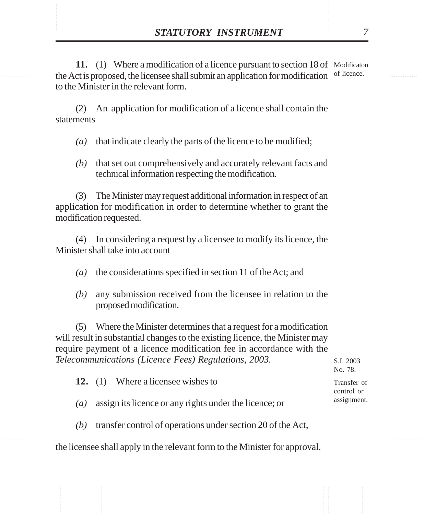**STATUTORY INSTRUMENT** 7<br> **11.** (1) Where a modification of a licence pursuant to section 18 of Modificaton<br>
the Act is proposed, the licensee shall submit an application for modification of licence. 11. (1) Where a modification of a licence pursuant to section 18 of Modificaton the Act is proposed, the licensee shall submit an application for modification of licence. to the Minister in the relevant form.

> (2) An application for modification of a licence shall contain the statements

- *(a)* that indicate clearly the parts of the licence to be modified;
- *(b)* that set out comprehensively and accurately relevant facts and technical information respecting the modification.

(3) The Minister may request additional information in respect of an application for modification in order to determine whether to grant the modification requested.

(4) In considering a request by a licensee to modify its licence, the Minister shall take into account

- *(a)* the considerations specified in section 11 of the Act; and
- *(b)* any submission received from the licensee in relation to the proposed modification.

(5) Where the Minister determines that a request for a modification will result in substantial changes to the existing licence, the Minister may require payment of a licence modification fee in accordance with the *Telecommunications (Licence Fees) Regulations, 2003*.

|     | ommunications (Licence Tees) Regulations, 2005.             | 9.1.2003<br>No. 78.       |
|-----|-------------------------------------------------------------|---------------------------|
|     | 12. (1) Where a licensee wishes to                          | Transfer of<br>control or |
| (a) | assign its licence or any rights under the licence; or      | assignment.               |
| (b) | transfer control of operations under section 20 of the Act, |                           |

the licensee shall apply in the relevant form to the Minister for approval.

 $S. I. 2002$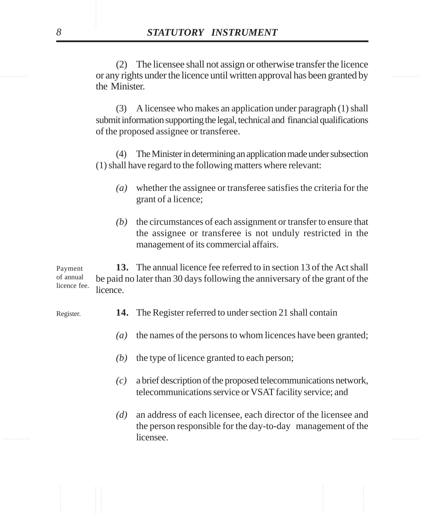or any rights under the licence until written approval has been granted by (2) The licensee shall not assign or otherwise transfer the licence the Minister.

> (3) A licensee who makes an application under paragraph (1) shall submit information supporting the legal, technical and financial qualifications of the proposed assignee or transferee.

> (4) The Minister in determining an application made under subsection (1) shall have regard to the following matters where relevant:

- *(a)* whether the assignee or transferee satisfies the criteria for the grant of a licence;
- *(b)* the circumstances of each assignment or transfer to ensure that the assignee or transferee is not unduly restricted in the management of its commercial affairs.

............... ............... ............... ............... ............... ............... **13.** The annual licence fee referred to in section 13 of the Act shall be paid no later than 30 days following the anniversary of the grant of the licence. Payment of annual licence fee.

- **14.** The Register referred to under section 21 shall contain
	- *(a)* the names of the persons to whom licences have been granted;
	- *(b)* the type of licence granted to each person;
	- *(c)* a brief description of the proposed telecommunications network, telecommunications service or VSAT facility service; and
- <u>licensee</u>. **Example 1** *n n n n n n n n n n n n n n n n (d)* an address of each licensee, each director of the licensee and the person responsible for the day-to-day management of the licensee.

Register.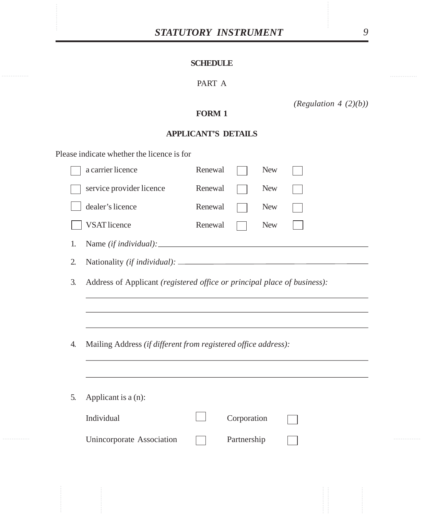# **SCHEDULE**

# PART A

*(Regulation 4 (2)(b))*

# **FORM 1**

# **APPLICANT'S DETAILS**

Please indicate whether the licence is for

|    | a carrier licence                                                        | Renewal |             | <b>New</b> |  |  |  |
|----|--------------------------------------------------------------------------|---------|-------------|------------|--|--|--|
|    | service provider licence                                                 | Renewal |             | <b>New</b> |  |  |  |
|    | dealer's licence                                                         | Renewal |             | <b>New</b> |  |  |  |
|    | <b>VSAT</b> licence                                                      | Renewal |             | <b>New</b> |  |  |  |
| 1. |                                                                          |         |             |            |  |  |  |
| 2. |                                                                          |         |             |            |  |  |  |
| 3. | Address of Applicant (registered office or principal place of business): |         |             |            |  |  |  |
|    |                                                                          |         |             |            |  |  |  |
|    |                                                                          |         |             |            |  |  |  |
| 4. | Mailing Address (if different from registered office address):           |         |             |            |  |  |  |
|    |                                                                          |         |             |            |  |  |  |
| 5. | Applicant is a (n):                                                      |         |             |            |  |  |  |
|    | Individual                                                               |         | Corporation |            |  |  |  |
|    | Unincorporate Association                                                |         | Partnership |            |  |  |  |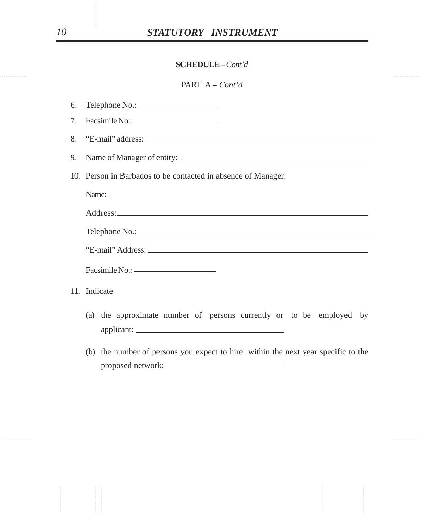|    | <b>SCHEDULE - Cont'd</b>                                                          |  |  |  |  |  |
|----|-----------------------------------------------------------------------------------|--|--|--|--|--|
|    | PART $A - Cont'd$                                                                 |  |  |  |  |  |
| 6. |                                                                                   |  |  |  |  |  |
| 7. |                                                                                   |  |  |  |  |  |
| 8. |                                                                                   |  |  |  |  |  |
| 9. |                                                                                   |  |  |  |  |  |
|    | 10. Person in Barbados to be contacted in absence of Manager:                     |  |  |  |  |  |
|    |                                                                                   |  |  |  |  |  |
|    |                                                                                   |  |  |  |  |  |
|    |                                                                                   |  |  |  |  |  |
|    |                                                                                   |  |  |  |  |  |
|    |                                                                                   |  |  |  |  |  |
|    | 11. Indicate                                                                      |  |  |  |  |  |
|    | (a) the approximate number of persons currently or to be employed by              |  |  |  |  |  |
|    | (b) the number of persons you expect to hire within the next year specific to the |  |  |  |  |  |
|    |                                                                                   |  |  |  |  |  |
|    |                                                                                   |  |  |  |  |  |
|    |                                                                                   |  |  |  |  |  |
|    |                                                                                   |  |  |  |  |  |
|    |                                                                                   |  |  |  |  |  |
|    |                                                                                   |  |  |  |  |  |
|    |                                                                                   |  |  |  |  |  |

- (a) the approximate number of persons currently or to be employed by applicant:
- (b) the number of persons you expect to hire within the next year specific to the proposed network: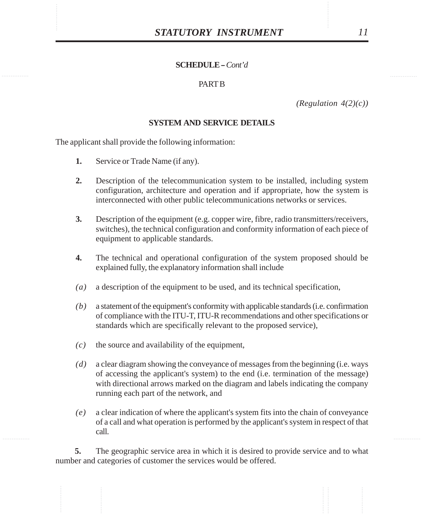#### **PART B**

*(Regulation 4(2)(c))*

### **SYSTEM AND SERVICE DETAILS**

The applicant shall provide the following information:

- **1.** Service or Trade Name (if any).
- **2.** Description of the telecommunication system to be installed, including system configuration, architecture and operation and if appropriate, how the system is interconnected with other public telecommunications networks or services.
- **3.** Description of the equipment (e.g. copper wire, fibre, radio transmitters/receivers, switches), the technical configuration and conformity information of each piece of equipment to applicable standards.
- **4.** The technical and operational configuration of the system proposed should be explained fully, the explanatory information shall include
- *(a)* a description of the equipment to be used, and its technical specification,
- *(b)* a statement of the equipment's conformity with applicable standards (i.e. confirmation of compliance with the ITU-T, ITU-R recommendations and other specifications or standards which are specifically relevant to the proposed service),
- *(c)* the source and availability of the equipment,
- *(d)* a clear diagram showing the conveyance of messages from the beginning (i.e. ways of accessing the applicant's system) to the end (i.e. termination of the message) with directional arrows marked on the diagram and labels indicating the company running each part of the network, and
- *(e)* a clear indication of where the applicant's system fits into the chain of conveyance of a call and what operation is performed by the applicant's system in respect of that call.

**5.** The geographic service area in which it is desired to provide service and to what number and categories of customer the services would be offered.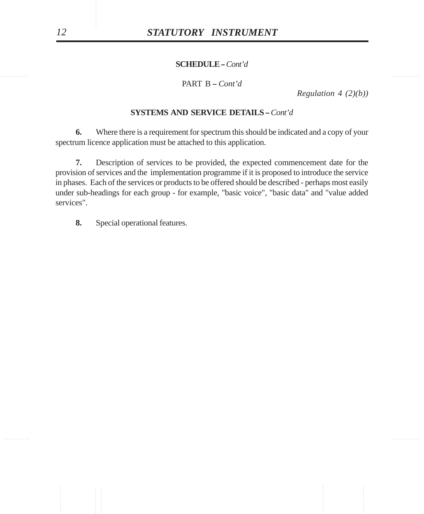### PART B - Cont'd

*Regulation 4 (2)(b))*

### **SYSTEMS AND SERVICE DETAILS - Cont'd**

**6.** Where there is a requirement for spectrum this should be indicated and a copy of your spectrum licence application must be attached to this application.

**STATUTORY INSTRUMENT**<br>
SCHEDULE-Cont'd<br>
DNRT B - Cont'd<br>
DNRT B - Cont'd<br>
SYSTEMS AND SERVICE DETAILS - Cont'd<br>
SYSTEMS AND SERVICE DETAILS - Cont'd<br>
SYSTEMS AND SERVICE DETAILS - Cont'd<br>
SYSTEMS AND SERVICE OF THE SPONS **7.** Description of services to be provided, the expected commencement date for the provision of services and the implementation programme if it is proposed to introduce the service in phases. Each of the services or products to be offered should be described - perhaps most easily under sub-headings for each group - for example, "basic voice", "basic data" and "value added services".

**8.** Special operational features.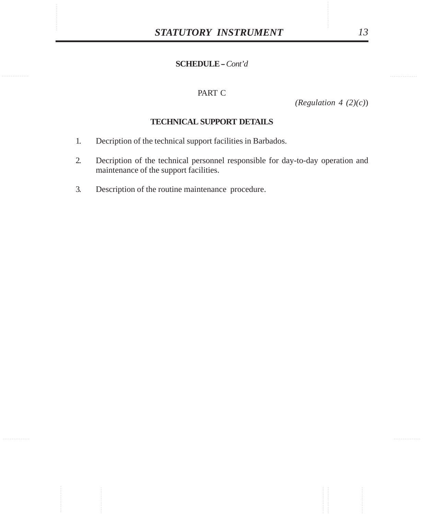# PART C

*(Regulation 4 (2)(c)*)

## **TECHNICAL SUPPORT DETAILS**

- 1. Decription of the technical support facilities in Barbados.
- 2. Decription of the technical personnel responsible for day-to-day operation and maintenance of the support facilities.
- 3. Description of the routine maintenance procedure.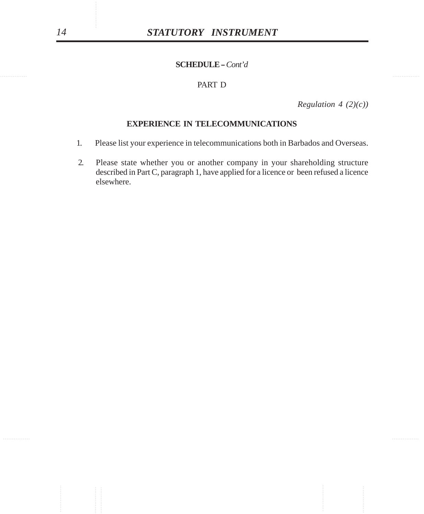## PART D

*Regulation 4 (2)(c))*

#### **EXPERIENCE IN TELECOMMUNICATIONS**

- 1. Please list your experience in telecommunications both in Barbados and Overseas.
- STATUTORY INSTRUMENT<br>
SCIEDULE Com<sup>+</sup>d<br>
PART D<br>
PART D<br>
EXPERIENCE IN TELECOMMUNICATIONS<br>
1. Please is your experience in telecommunications both in Barbados and Overnea<br>
2. Please state whether you or another company in 2. Please state whether you or another company in your shareholding structure described in Part C, paragraph 1, have applied for a licence or been refused a licence elsewhere.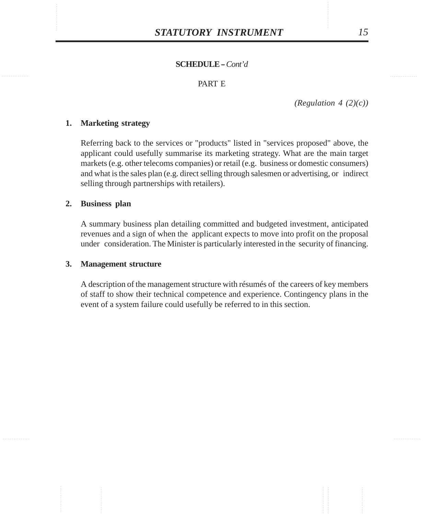### PART E

*(Regulation 4 (2)(c))*

### **1. Marketing strategy**

Referring back to the services or "products" listed in "services proposed" above, the applicant could usefully summarise its marketing strategy. What are the main target markets (e.g. other telecoms companies) or retail (e.g. business or domestic consumers) and what is the sales plan (e.g. direct selling through salesmen or advertising, or indirect selling through partnerships with retailers).

### **2. Business plan**

A summary business plan detailing committed and budgeted investment, anticipated revenues and a sign of when the applicant expects to move into profit on the proposal under consideration. The Minister is particularly interested in the security of financing.

#### **3. Management structure**

A description of the management structure with résumés of the careers of key members of staff to show their technical competence and experience. Contingency plans in the event of a system failure could usefully be referred to in this section.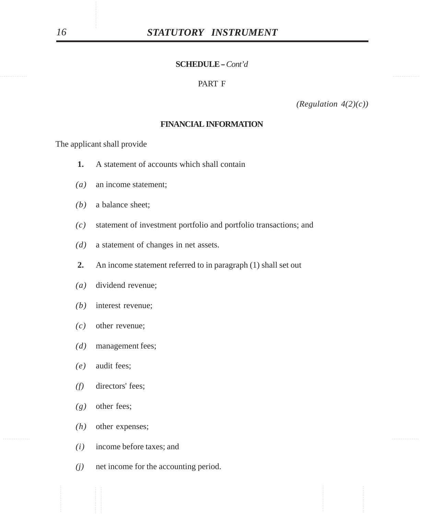#### PART F

*(Regulation 4(2)(c))*

#### **FINANCIAL INFORMATION**

The applicant shall provide

- **1.** A statement of accounts which shall contain
- *(a)* an income statement;
- *(b)* a balance sheet;
- ............... ............... ............... ............... ............... ............... *(c)* statement of investment portfolio and portfolio transactions; and
	- *(d)* a statement of changes in net assets.
	- **2.** An income statement referred to in paragraph (1) shall set out
	- *(a)* dividend revenue;
	- *(b)* interest revenue;
	- *(c)* other revenue;
	- *(d)* management fees;
	- *(e)* audit fees;
	- *(f)* directors' fees;
	- *(g)* other fees;
	- *(h)* other expenses;
	- *(i)* income before taxes; and
	- *(j)* net income for the accounting period.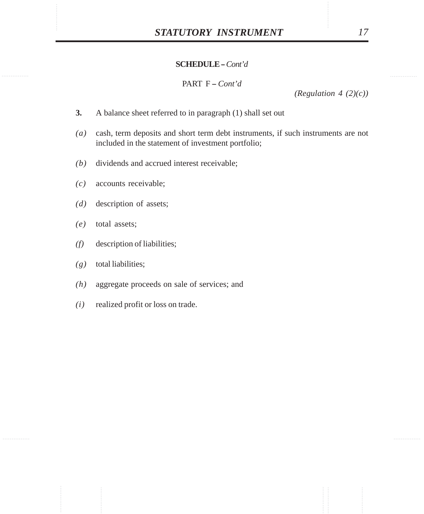PART F - *Cont'd* 

*(Regulation 4 (2)(c))*

- **3.** A balance sheet referred to in paragraph (1) shall set out
- *(a)* cash, term deposits and short term debt instruments, if such instruments are not included in the statement of investment portfolio;
- *(b)* dividends and accrued interest receivable;
- *(c)* accounts receivable;
- *(d)* description of assets;
- *(e)* total assets;
- *(f)* description of liabilities;
- *(g)* total liabilities;
- *(h)* aggregate proceeds on sale of services; and
- *(i)* realized profit or loss on trade.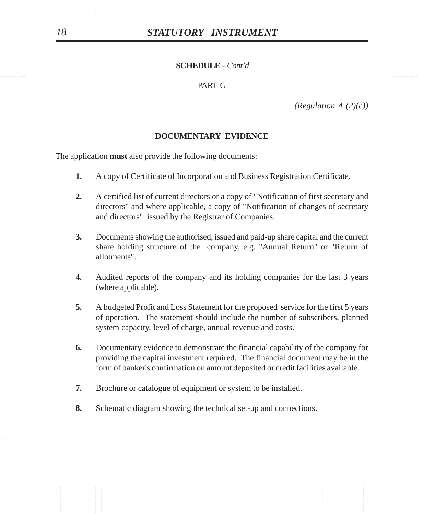# PART G

*(Regulation 4 (2)(c))*

#### **DOCUMENTARY EVIDENCE**

The application **must** also provide the following documents:

- **1.** A copy of Certificate of Incorporation and Business Registration Certificate.
- **2.** A certified list of current directors or a copy of "Notification of first secretary and directors" and where applicable, a copy of "Notification of changes of secretary and directors" issued by the Registrar of Companies.
- **STATUTORY INSTRUMENT**<br>
SCHEDULE Cont'd<br>
PART G<br>
DOCUMENTARY EVIDENCE<br>
(Regulation 4 (2)(c)<br>
DOCUMENTARY EVIDENCE<br>
he application must also provide the following documents:<br>
1. A correspond contribute to the following d **3.** Documents showing the authorised, issued and paid-up share capital and the current share holding structure of the company, e.g. "Annual Return" or "Return of allotments".
	- **4.** Audited reports of the company and its holding companies for the last 3 years (where applicable).
	- **5.** A budgeted Profit and Loss Statement for the proposed service for the first 5 years of operation. The statement should include the number of subscribers, planned system capacity, level of charge, annual revenue and costs.
	- **6.** Documentary evidence to demonstrate the financial capability of the company for providing the capital investment required. The financial document may be in the form of banker's confirmation on amount deposited or credit facilities available.
	- **7.** Brochure or catalogue of equipment or system to be installed.
	- **8.** Schematic diagram showing the technical set-up and connections.